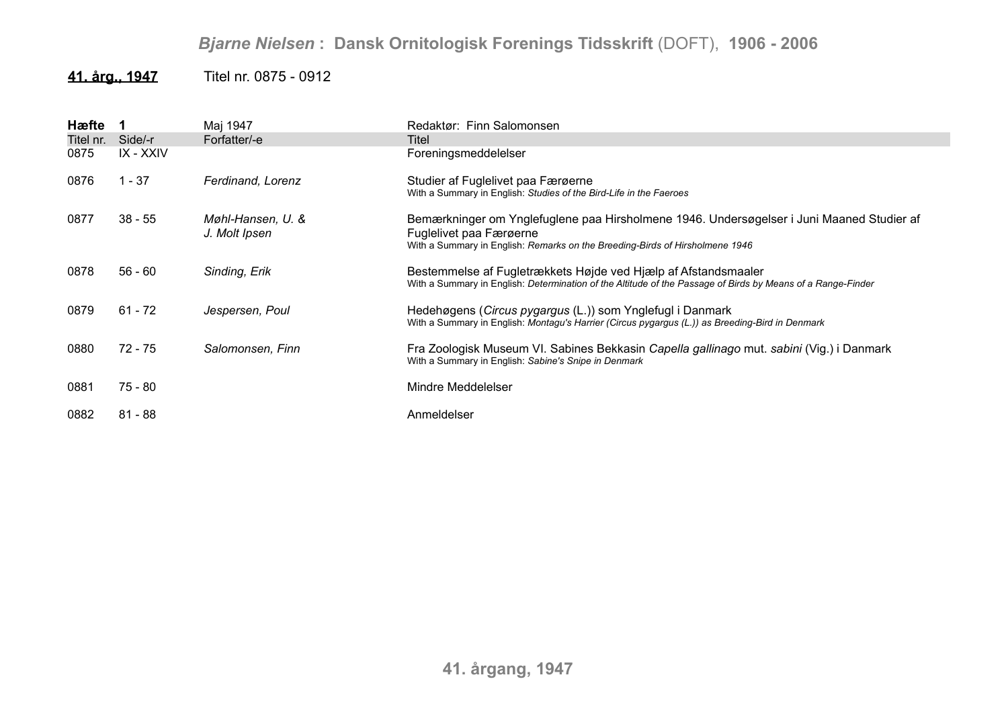### **41. årg., 1947** Titel nr. 0875 - 0912

| Hæfte     |           | Maj 1947                           | Redaktør: Finn Salomonsen                                                                                                                                                     |
|-----------|-----------|------------------------------------|-------------------------------------------------------------------------------------------------------------------------------------------------------------------------------|
| Titel nr. | Side/-r   | Forfatter/-e                       | Titel                                                                                                                                                                         |
| 0875      | IX - XXIV |                                    | Foreningsmeddelelser                                                                                                                                                          |
| 0876      | $1 - 37$  | Ferdinand, Lorenz                  | Studier af Fuglelivet paa Færøerne<br>With a Summary in English: Studies of the Bird-Life in the Faeroes                                                                      |
| 0877      | $38 - 55$ | Møhl-Hansen, U. &<br>J. Molt Ipsen | Bemærkninger om Ynglefuglene paa Hirsholmene 1946. Undersøgelser i Juni Maaned Studier af<br>Fuglelivet paa Færøerne                                                          |
|           |           |                                    | With a Summary in English: Remarks on the Breeding-Birds of Hirsholmene 1946                                                                                                  |
| 0878      | $56 - 60$ | Sinding, Erik                      | Bestemmelse af Fugletrækkets Højde ved Hjælp af Afstandsmaaler<br>With a Summary in English: Determination of the Altitude of the Passage of Birds by Means of a Range-Finder |
| 0879      | $61 - 72$ | Jespersen, Poul                    | Hedehøgens (Circus pygargus (L.)) som Ynglefugl i Danmark<br>With a Summary in English: Montagu's Harrier (Circus pygargus (L.)) as Breeding-Bird in Denmark                  |
| 0880      | 72 - 75   | Salomonsen, Finn                   | Fra Zoologisk Museum VI. Sabines Bekkasin Capella gallinago mut. sabini (Vig.) i Danmark<br>With a Summary in English: Sabine's Snipe in Denmark                              |
| 0881      | 75 - 80   |                                    | Mindre Meddelelser                                                                                                                                                            |
| 0882      | $81 - 88$ |                                    | Anmeldelser                                                                                                                                                                   |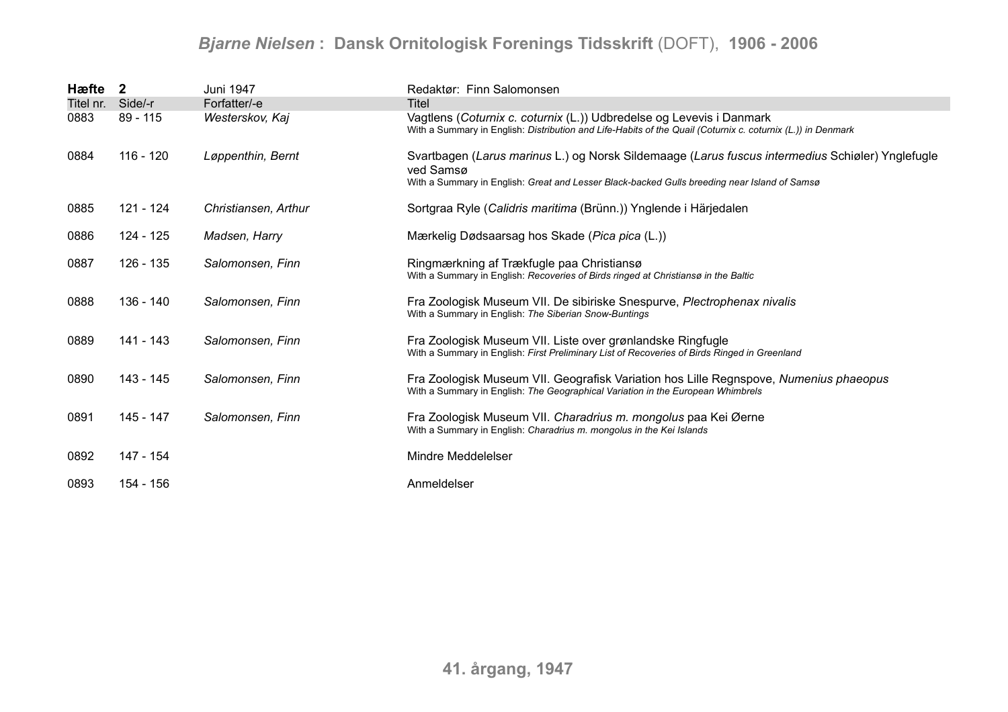| Hæfte 2   |            | Juni 1947            | Redaktør: Finn Salomonsen                                                                                                                                                                                     |
|-----------|------------|----------------------|---------------------------------------------------------------------------------------------------------------------------------------------------------------------------------------------------------------|
| Titel nr. | Side/-r    | Forfatter/-e         | Titel                                                                                                                                                                                                         |
| 0883      | $89 - 115$ | Westerskov, Kaj      | Vagtlens (Coturnix c. coturnix (L.)) Udbredelse og Levevis i Danmark<br>With a Summary in English: Distribution and Life-Habits of the Quail (Coturnix c. coturnix (L.)) in Denmark                           |
| 0884      | 116 - 120  | Løppenthin, Bernt    | Svartbagen (Larus marinus L.) og Norsk Sildemaage (Larus fuscus intermedius Schiøler) Ynglefugle<br>ved Samsø<br>With a Summary in English: Great and Lesser Black-backed Gulls breeding near Island of Samsø |
| 0885      | 121 - 124  | Christiansen, Arthur | Sortgraa Ryle (Calidris maritima (Brünn.)) Ynglende i Härjedalen                                                                                                                                              |
| 0886      | 124 - 125  | Madsen, Harry        | Mærkelig Dødsaarsag hos Skade (Pica pica (L.))                                                                                                                                                                |
| 0887      | 126 - 135  | Salomonsen, Finn     | Ringmærkning af Trækfugle paa Christiansø<br>With a Summary in English: Recoveries of Birds ringed at Christiansø in the Baltic                                                                               |
| 0888      | 136 - 140  | Salomonsen, Finn     | Fra Zoologisk Museum VII. De sibiriske Snespurve, Plectrophenax nivalis<br>With a Summary in English: The Siberian Snow-Buntings                                                                              |
| 0889      | 141 - 143  | Salomonsen, Finn     | Fra Zoologisk Museum VII. Liste over grønlandske Ringfugle<br>With a Summary in English: First Preliminary List of Recoveries of Birds Ringed in Greenland                                                    |
| 0890      | 143 - 145  | Salomonsen, Finn     | Fra Zoologisk Museum VII. Geografisk Variation hos Lille Regnspove, Numenius phaeopus<br>With a Summary in English: The Geographical Variation in the European Whimbrels                                      |
| 0891      | 145 - 147  | Salomonsen, Finn     | Fra Zoologisk Museum VII. Charadrius m. mongolus paa Kei Øerne<br>With a Summary in English: Charadrius m. mongolus in the Kei Islands                                                                        |
| 0892      | 147 - 154  |                      | Mindre Meddelelser                                                                                                                                                                                            |
| 0893      | 154 - 156  |                      | Anmeldelser                                                                                                                                                                                                   |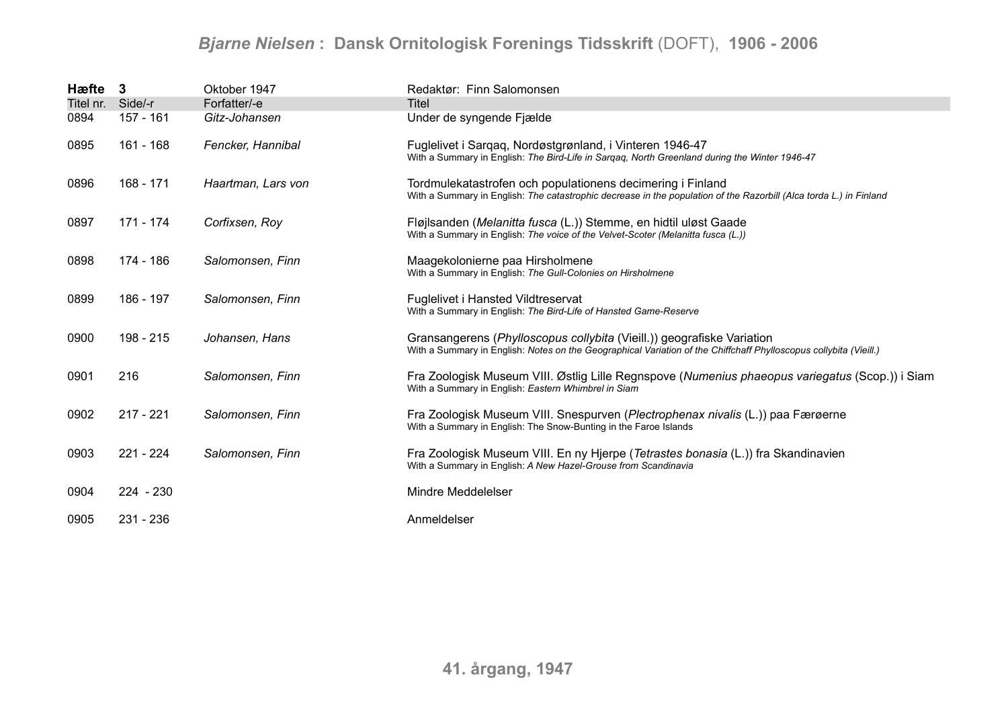| Hæfte 3   |             | Oktober 1947       | Redaktør: Finn Salomonsen                                                                                                                                                                   |
|-----------|-------------|--------------------|---------------------------------------------------------------------------------------------------------------------------------------------------------------------------------------------|
| Titel nr. | Side/-r     | Forfatter/-e       | Titel                                                                                                                                                                                       |
| 0894      | 157 - 161   | Gitz-Johansen      | Under de syngende Fjælde                                                                                                                                                                    |
| 0895      | 161 - 168   | Fencker, Hannibal  | Fuglelivet i Sargag, Nordøstgrønland, i Vinteren 1946-47<br>With a Summary in English: The Bird-Life in Sargag, North Greenland during the Winter 1946-47                                   |
| 0896      | 168 - 171   | Haartman, Lars von | Tordmulekatastrofen och populationens decimering i Finland<br>With a Summary in English: The catastrophic decrease in the population of the Razorbill (Alca torda L.) in Finland            |
| 0897      | 171 - 174   | Corfixsen, Roy     | Fløjlsanden (Melanitta fusca (L.)) Stemme, en hidtil uløst Gaade<br>With a Summary in English: The voice of the Velvet-Scoter (Melanitta fusca (L.))                                        |
| 0898      | 174 - 186   | Salomonsen, Finn   | Maagekolonierne paa Hirsholmene<br>With a Summary in English: The Gull-Colonies on Hirsholmene                                                                                              |
| 0899      | 186 - 197   | Salomonsen, Finn   | Fuglelivet i Hansted Vildtreservat<br>With a Summary in English: The Bird-Life of Hansted Game-Reserve                                                                                      |
| 0900      | 198 - 215   | Johansen, Hans     | Gransangerens (Phylloscopus collybita (Vieill.)) geografiske Variation<br>With a Summary in English: Notes on the Geographical Variation of the Chiffchaff Phylloscopus collybita (Vieill.) |
| 0901      | 216         | Salomonsen, Finn   | Fra Zoologisk Museum VIII. Østlig Lille Regnspove (Numenius phaeopus variegatus (Scop.)) i Siam<br>With a Summary in English: Eastern Whimbrel in Siam                                      |
| 0902      | $217 - 221$ | Salomonsen, Finn   | Fra Zoologisk Museum VIII. Snespurven (Plectrophenax nivalis (L.)) paa Færøerne<br>With a Summary in English: The Snow-Bunting in the Faroe Islands                                         |
| 0903      | $221 - 224$ | Salomonsen, Finn   | Fra Zoologisk Museum VIII. En ny Hjerpe (Tetrastes bonasia (L.)) fra Skandinavien<br>With a Summary in English: A New Hazel-Grouse from Scandinavia                                         |
| 0904      | $224 - 230$ |                    | Mindre Meddelelser                                                                                                                                                                          |
| 0905      | $231 - 236$ |                    | Anmeldelser                                                                                                                                                                                 |